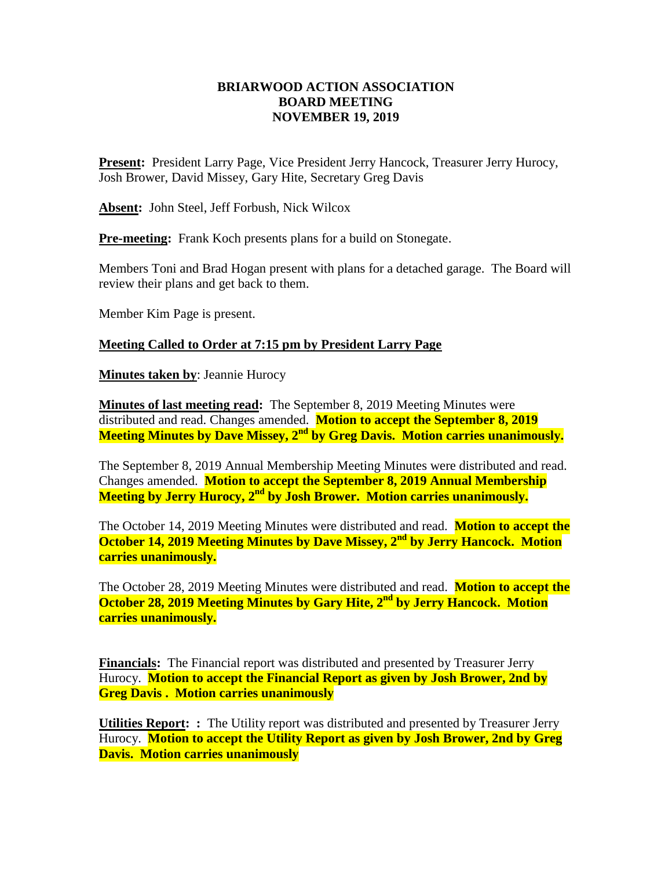## **BRIARWOOD ACTION ASSOCIATION BOARD MEETING NOVEMBER 19, 2019**

**Present:** President Larry Page, Vice President Jerry Hancock, Treasurer Jerry Hurocy, Josh Brower, David Missey, Gary Hite, Secretary Greg Davis

**Absent:** John Steel, Jeff Forbush, Nick Wilcox

**Pre-meeting:** Frank Koch presents plans for a build on Stonegate.

Members Toni and Brad Hogan present with plans for a detached garage. The Board will review their plans and get back to them.

Member Kim Page is present.

## **Meeting Called to Order at 7:15 pm by President Larry Page**

**Minutes taken by**: Jeannie Hurocy

**Minutes of last meeting read:** The September 8, 2019 Meeting Minutes were distributed and read. Changes amended. **Motion to accept the September 8, 2019 Meeting Minutes by Dave Missey, 2nd by Greg Davis. Motion carries unanimously.**

The September 8, 2019 Annual Membership Meeting Minutes were distributed and read. Changes amended. **Motion to accept the September 8, 2019 Annual Membership Meeting by Jerry Hurocy, 2nd by Josh Brower. Motion carries unanimously.**

The October 14, 2019 Meeting Minutes were distributed and read. **Motion to accept the October 14, 2019 Meeting Minutes by Dave Missey, 2nd by Jerry Hancock. Motion carries unanimously.**

The October 28, 2019 Meeting Minutes were distributed and read. **Motion to accept the October 28, 2019 Meeting Minutes by Gary Hite, 2nd by Jerry Hancock. Motion carries unanimously.**

**Financials:** The Financial report was distributed and presented by Treasurer Jerry Hurocy. **Motion to accept the Financial Report as given by Josh Brower, 2nd by Greg Davis . Motion carries unanimously** 

**Utilities Report: :** The Utility report was distributed and presented by Treasurer Jerry Hurocy. **Motion to accept the Utility Report as given by Josh Brower, 2nd by Greg Davis. Motion carries unanimously**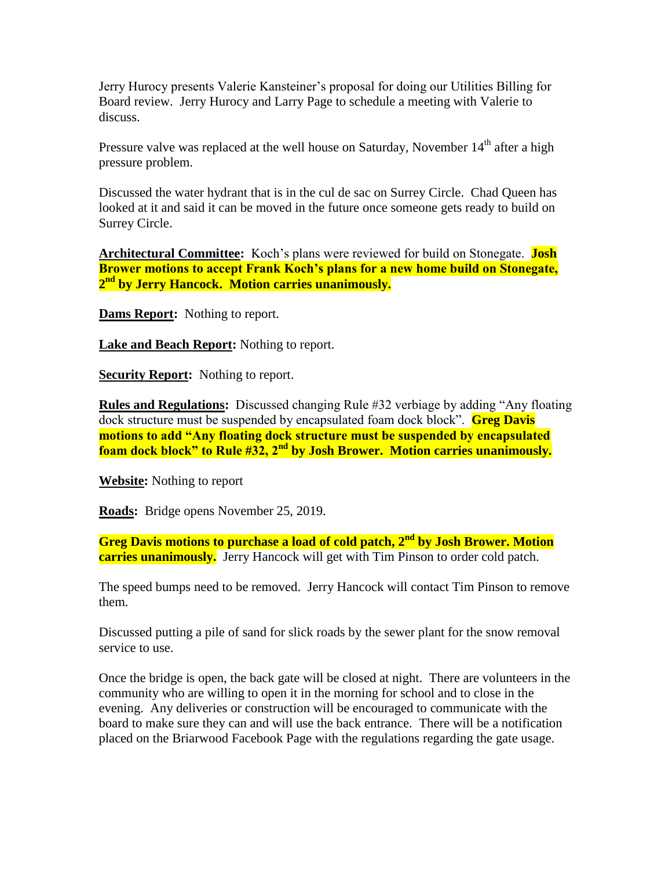Jerry Hurocy presents Valerie Kansteiner's proposal for doing our Utilities Billing for Board review. Jerry Hurocy and Larry Page to schedule a meeting with Valerie to discuss.

Pressure valve was replaced at the well house on Saturday, November  $14<sup>th</sup>$  after a high pressure problem.

Discussed the water hydrant that is in the cul de sac on Surrey Circle. Chad Queen has looked at it and said it can be moved in the future once someone gets ready to build on Surrey Circle.

**Architectural Committee:** Koch's plans were reviewed for build on Stonegate. **Josh Brower motions to accept Frank Koch's plans for a new home build on Stonegate, 2 nd by Jerry Hancock. Motion carries unanimously.**

**Dams Report:** Nothing to report.

**Lake and Beach Report:** Nothing to report.

**Security Report:** Nothing to report.

**Rules and Regulations:** Discussed changing Rule #32 verbiage by adding "Any floating dock structure must be suspended by encapsulated foam dock block". **Greg Davis motions to add "Any floating dock structure must be suspended by encapsulated foam dock block" to Rule #32, 2nd by Josh Brower. Motion carries unanimously.**

**Website:** Nothing to report

**Roads:** Bridge opens November 25, 2019.

**Greg Davis motions to purchase a load of cold patch, 2nd by Josh Brower. Motion carries unanimously.** Jerry Hancock will get with Tim Pinson to order cold patch.

The speed bumps need to be removed. Jerry Hancock will contact Tim Pinson to remove them.

Discussed putting a pile of sand for slick roads by the sewer plant for the snow removal service to use.

Once the bridge is open, the back gate will be closed at night. There are volunteers in the community who are willing to open it in the morning for school and to close in the evening. Any deliveries or construction will be encouraged to communicate with the board to make sure they can and will use the back entrance. There will be a notification placed on the Briarwood Facebook Page with the regulations regarding the gate usage.